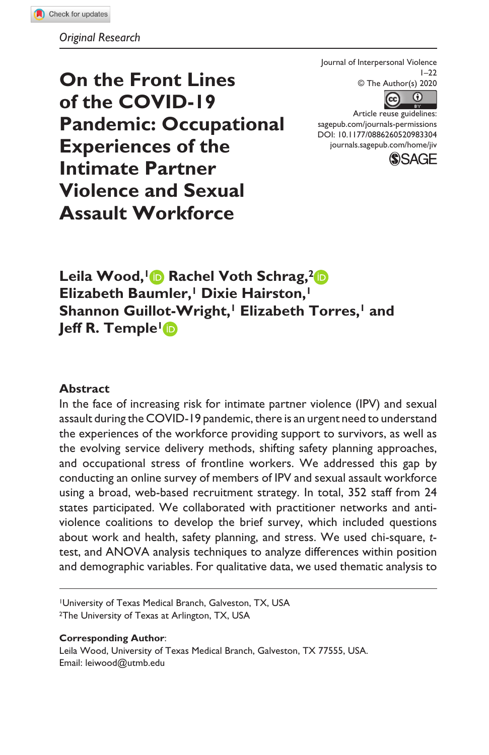**On the Front Lines of the COVID-19 Pandemic: Occupational Experiences of the Intimate Partner Violence and Sexual Assault Workforce** 

Journal of Interpersonal Violence  $1 - 22$ © The Author(s) 2020



Article reuse guidelines: sagepub.com/journals-permissions DOI: 10.1177/0886260520983304 journals.sagepub.com/home/jiv



Leila Wood, **1** Rachel Voth Schrag, <sup>2</sup> D **Elizabeth Baumler,<sup>1</sup> Dixie Hairston,<sup>1</sup>** Shannon Guillot-Wright,<sup>1</sup> Elizabeth Torres,<sup>1</sup> and **Jeff R. Temple <b>I**D

#### **Abstract**

 In the face of increasing risk for intimate partner violence (IPV) and sexual assault during the COVID-19 pandemic, there is an urgent need to understand the experiences of the workforce providing support to survivors, as well as the evolving service delivery methods, shifting safety planning approaches, and occupational stress of frontline workers. We addressed this gap by conducting an online survey of members of IPV and sexual assault workforce using a broad, web-based recruitment strategy. In total, 352 staff from 24 states participated. We collaborated with practitioner networks and antiviolence coalitions to develop the brief survey, which included questions about work and health, safety planning, and stress. We used chi-square, ttest, and ANOVA analysis techniques to analyze differences within position and demographic variables. For qualitative data, we used thematic analysis to

<sup>1</sup>University of Texas Medical Branch, Galveston, TX, USA

<sup>2</sup>The University of Texas at Arlington, TX, USA

#### **Corresponding Author:**

Leila Wood, University of Texas Medical Branch, Galveston, TX 77555, USA. Email: leiwood@utmb.edu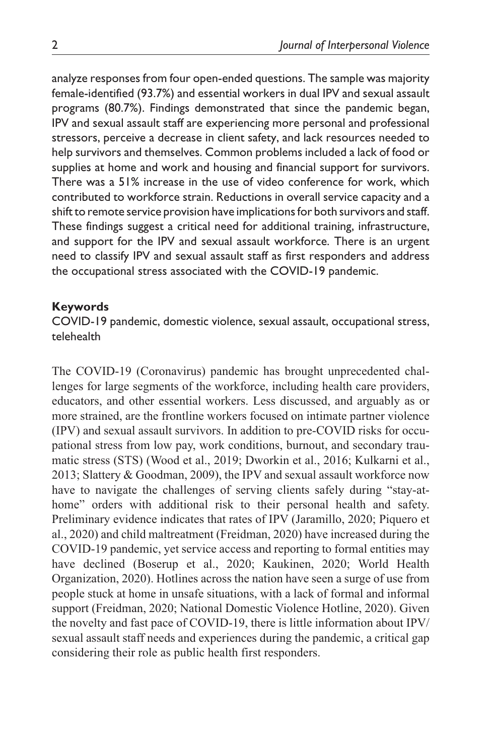analyze responses from four open-ended questions. The sample was majority female-identified (93.7%) and essential workers in dual IPV and sexual assault programs (80.7%). Findings demonstrated that since the pandemic began, IPV and sexual assault staff are experiencing more personal and professional stressors, perceive a decrease in client safety, and lack resources needed to help survivors and themselves. Common problems included a lack of food or supplies at home and work and housing and financial support for survivors. There was a 51% increase in the use of video conference for work, which contributed to workforce strain. Reductions in overall service capacity and a shift to remote service provision have implications for both survivors and staff. These findings suggest a critical need for additional training, infrastructure, and support for the IPV and sexual assault workforce. There is an urgent need to classify IPV and sexual assault staff as first responders and address the occupational stress associated with the COVID-19 pandemic.

#### **Keywords**

COVID-19 pandemic, domestic violence, sexual assault, occupational stress, telehealth

The COVID-19 (Coronavirus) pandemic has brought unprecedented challenges for large segments of the workforce, including health care providers, educators, and other essential workers. Less discussed, and arguably as or more strained, are the frontline workers focused on intimate partner violence (IPV) and sexual assault survivors. In addition to pre-COVID risks for occupational stress from low pay, work conditions, burnout, and secondary traumatic stress (STS) (Wood et al., 2019; Dworkin et al., 2016; Kulkarni et al., 2013; Slattery & Goodman, 2009), the IPV and sexual assault workforce now have to navigate the challenges of serving clients safely during "stay-athome" orders with additional risk to their personal health and safety. Preliminary evidence indicates that rates of IPV (Jaramillo, 2020; Piquero et al., 2020) and child maltreatment (Freidman, 2020) have increased during the COVID-19 pandemic, yet service access and reporting to formal entities may have declined (Boserup et al., 2020; Kaukinen, 2020; World Health Organization, 2020). Hotlines across the nation have seen a surge of use from people stuck at home in unsafe situations, with a lack of formal and informal support (Freidman, 2020; National Domestic Violence Hotline, 2020). Given the novelty and fast pace of COVID-19, there is little information about IPV/ sexual assault staff needs and experiences during the pandemic, a critical gap considering their role as public health first responders.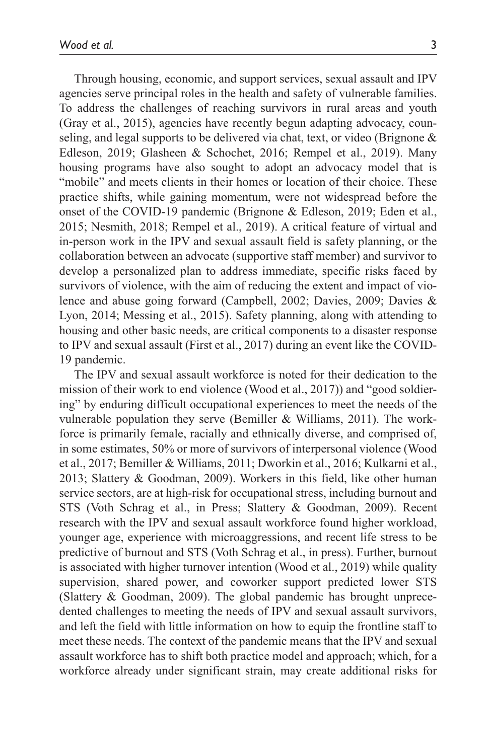19 pandemic.

Through housing, economic, and support services, sexual assault and IPV agencies serve principal roles in the health and safety of vulnerable families. To address the challenges of reaching survivors in rural areas and youth (Gray et al., 2015), agencies have recently begun adapting advocacy, counseling, and legal supports to be delivered via chat, text, or video (Brignone & Edleson, 2019; Glasheen & Schochet, 2016; Rempel et al., 2019). Many housing programs have also sought to adopt an advocacy model that is "mobile" and meets clients in their homes or location of their choice. These practice shifts, while gaining momentum, were not widespread before the onset of the COVID-19 pandemic (Brignone & Edleson, 2019; Eden et al., 2015; Nesmith, 2018; Rempel et al., 2019). A critical feature of virtual and in-person work in the IPV and sexual assault field is safety planning, or the collaboration between an advocate (supportive staff member) and survivor to develop a personalized plan to address immediate, specific risks faced by survivors of violence, with the aim of reducing the extent and impact of violence and abuse going forward (Campbell, 2002; Davies, 2009; Davies & Lyon, 2014; Messing et al., 2015). Safety planning, along with attending to housing and other basic needs, are critical components to a disaster response to IPV and sexual assault (First et al., 2017) during an event like the COVID-

The IPV and sexual assault workforce is noted for their dedication to the mission of their work to end violence (Wood et al., 2017)) and "good soldiering" by enduring difficult occupational experiences to meet the needs of the vulnerable population they serve (Bemiller & Williams, 2011). The workforce is primarily female, racially and ethnically diverse, and comprised of, in some estimates, 50% or more of survivors of interpersonal violence (Wood et al., 2017; Bemiller & Williams, 2011; Dworkin et al., 2016; Kulkarni et al., 2013; Slattery & Goodman, 2009). Workers in this field, like other human service sectors, are at high-risk for occupational stress, including burnout and STS (Voth Schrag et al., in Press; Slattery & Goodman, 2009). Recent research with the IPV and sexual assault workforce found higher workload, younger age, experience with microaggressions, and recent life stress to be predictive of burnout and STS (Voth Schrag et al., in press). Further, burnout is associated with higher turnover intention (Wood et al., 2019) while quality supervision, shared power, and coworker support predicted lower STS (Slattery & Goodman, 2009). The global pandemic has brought unprecedented challenges to meeting the needs of IPV and sexual assault survivors, and left the field with little information on how to equip the frontline staff to meet these needs. The context of the pandemic means that the IPV and sexual assault workforce has to shift both practice model and approach; which, for a workforce already under significant strain, may create additional risks for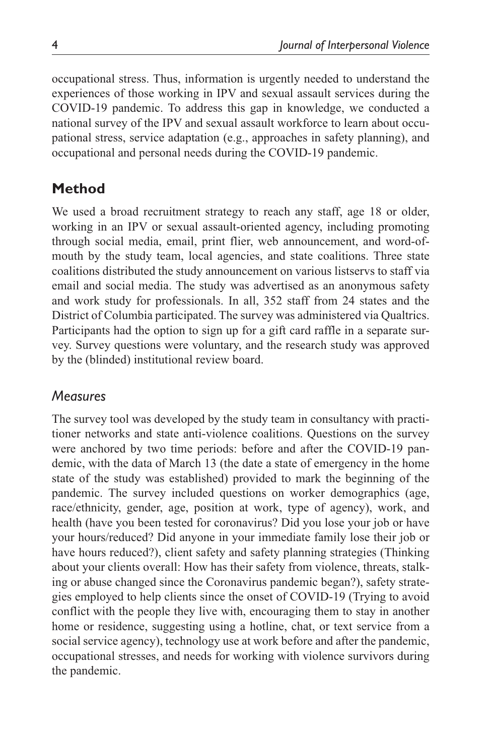occupational stress. Thus, information is urgently needed to understand the experiences of those working in IPV and sexual assault services during the COVID-19 pandemic. To address this gap in knowledge, we conducted a national survey of the IPV and sexual assault workforce to learn about occupational stress, service adaptation (e.g., approaches in safety planning), and occupational and personal needs during the COVID-19 pandemic.

# **Method**

We used a broad recruitment strategy to reach any staff, age 18 or older, working in an IPV or sexual assault-oriented agency, including promoting through social media, email, print flier, web announcement, and word-ofmouth by the study team, local agencies, and state coalitions. Three state coalitions distributed the study announcement on various listservs to staff via email and social media. The study was advertised as an anonymous safety and work study for professionals. In all, 352 staff from 24 states and the District of Columbia participated. The survey was administered via Qualtrics. Participants had the option to sign up for a gift card raffle in a separate survey. Survey questions were voluntary, and the research study was approved by the (blinded) institutional review board.

# *Measures*

The survey tool was developed by the study team in consultancy with practitioner networks and state anti-violence coalitions. Questions on the survey were anchored by two time periods: before and after the COVID-19 pandemic, with the data of March 13 (the date a state of emergency in the home state of the study was established) provided to mark the beginning of the pandemic. The survey included questions on worker demographics (age, race/ethnicity, gender, age, position at work, type of agency), work, and health (have you been tested for coronavirus? Did you lose your job or have your hours/reduced? Did anyone in your immediate family lose their job or have hours reduced?), client safety and safety planning strategies (Thinking about your clients overall: How has their safety from violence, threats, stalking or abuse changed since the Coronavirus pandemic began?), safety strategies employed to help clients since the onset of COVID-19 (Trying to avoid conflict with the people they live with, encouraging them to stay in another home or residence, suggesting using a hotline, chat, or text service from a social service agency), technology use at work before and after the pandemic, occupational stresses, and needs for working with violence survivors during the pandemic.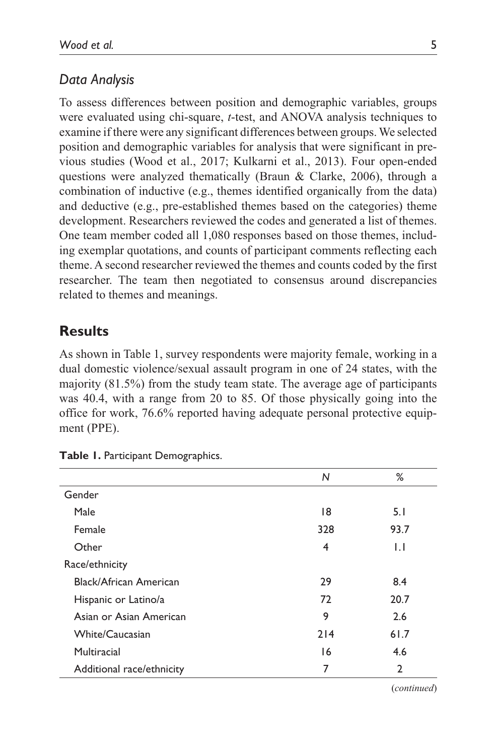## *Data Analysis*

To assess differences between position and demographic variables, groups were evaluated using chi-square, *t*-test, and ANOVA analysis techniques to examine if there were any significant differences between groups. We selected position and demographic variables for analysis that were significant in previous studies (Wood et al., 2017; Kulkarni et al., 2013). Four open-ended questions were analyzed thematically (Braun & Clarke, 2006), through a combination of inductive (e.g., themes identified organically from the data) and deductive (e.g., pre-established themes based on the categories) theme development. Researchers reviewed the codes and generated a list of themes. One team member coded all 1,080 responses based on those themes, including exemplar quotations, and counts of participant comments reflecting each theme. A second researcher reviewed the themes and counts coded by the first researcher. The team then negotiated to consensus around discrepancies related to themes and meanings.

## **Results**

As shown in Table 1, survey respondents were majority female, working in a dual domestic violence/sexual assault program in one of 24 states, with the majority (81.5%) from the study team state. The average age of participants was 40.4, with a range from 20 to 85. Of those physically going into the office for work, 76.6% reported having adequate personal protective equipment (PPE).

|                           | N   | ℅              |
|---------------------------|-----|----------------|
| Gender                    |     |                |
| Male                      | 18  | 5.1            |
| Female                    | 328 | 93.7           |
| Other                     | 4   | $\mathsf{L}$   |
| Race/ethnicity            |     |                |
| Black/African American    | 29  | 8.4            |
| Hispanic or Latino/a      | 72  | 20.7           |
| Asian or Asian American   | 9   | 2.6            |
| White/Caucasian           | 214 | 61.7           |
| Multiracial               | 16  | 4.6            |
| Additional race/ethnicity | 7   | $\overline{2}$ |

**Table 1.** Participant Demographics.

(*continued*)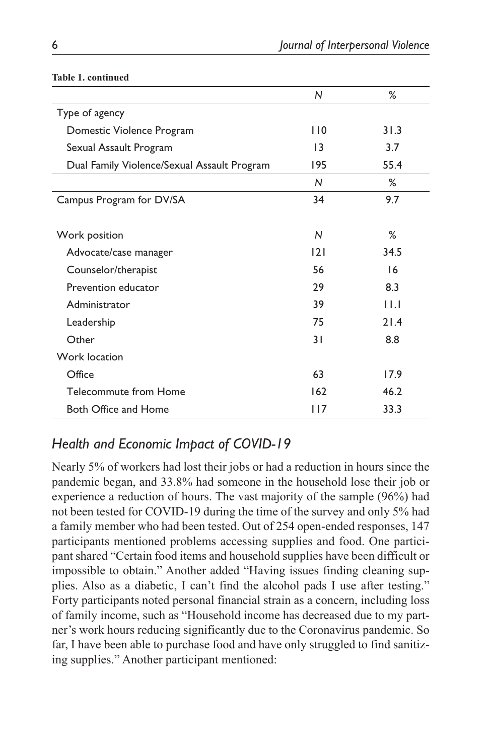|                                             | N               | %    |
|---------------------------------------------|-----------------|------|
| Type of agency                              |                 |      |
| Domestic Violence Program                   | 110             | 31.3 |
| Sexual Assault Program                      | $\overline{13}$ | 3.7  |
| Dual Family Violence/Sexual Assault Program | 195             | 55.4 |
|                                             | N               | %    |
| Campus Program for DV/SA                    | 34              | 9.7  |
|                                             |                 |      |
| Work position                               | N               | $\%$ |
| Advocate/case manager                       | 2               | 34.5 |
| Counselor/therapist                         | 56              | 16   |
| Prevention educator                         | 29              | 8.3  |
| Administrator                               | 39              | 11.1 |
| Leadership                                  | 75              | 21.4 |
| Other                                       | 3 I             | 8.8  |
| Work location                               |                 |      |
| Office                                      | 63              | 17.9 |
| Telecommute from Home                       | 162             | 46.2 |
| Both Office and Home                        | 117             | 33.3 |

#### **Table 1. continued**

# *Health and Economic Impact of COVID-19*

Nearly 5% of workers had lost their jobs or had a reduction in hours since the pandemic began, and 33.8% had someone in the household lose their job or experience a reduction of hours. The vast majority of the sample (96%) had not been tested for COVID-19 during the time of the survey and only 5% had a family member who had been tested. Out of 254 open-ended responses, 147 participants mentioned problems accessing supplies and food. One participant shared "Certain food items and household supplies have been difficult or impossible to obtain." Another added "Having issues finding cleaning supplies. Also as a diabetic, I can't find the alcohol pads I use after testing." Forty participants noted personal financial strain as a concern, including loss of family income, such as "Household income has decreased due to my partner's work hours reducing significantly due to the Coronavirus pandemic. So far, I have been able to purchase food and have only struggled to find sanitizing supplies." Another participant mentioned: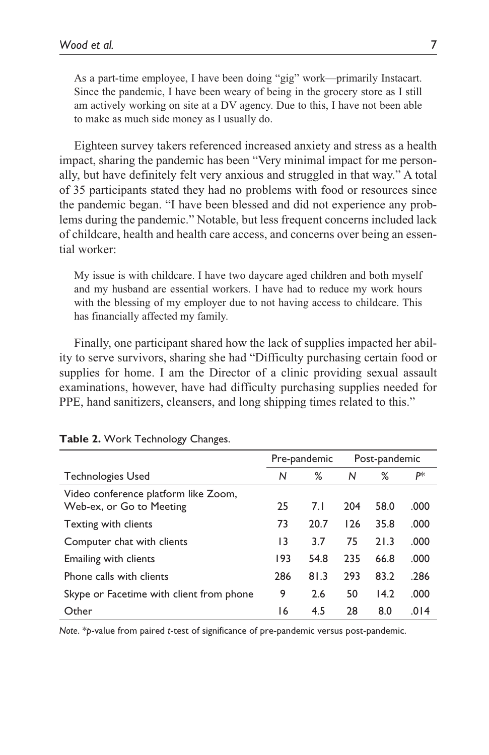As a part-time employee, I have been doing "gig" work—primarily Instacart. Since the pandemic, I have been weary of being in the grocery store as I still am actively working on site at a DV agency. Due to this, I have not been able to make as much side money as I usually do.

Eighteen survey takers referenced increased anxiety and stress as a health impact, sharing the pandemic has been "Very minimal impact for me personally, but have definitely felt very anxious and struggled in that way." A total of 35 participants stated they had no problems with food or resources since the pandemic began. "I have been blessed and did not experience any problems during the pandemic." Notable, but less frequent concerns included lack of childcare, health and health care access, and concerns over being an essential worker:

My issue is with childcare. I have two daycare aged children and both myself and my husband are essential workers. I have had to reduce my work hours with the blessing of my employer due to not having access to childcare. This has financially affected my family.

Finally, one participant shared how the lack of supplies impacted her ability to serve survivors, sharing she had "Difficulty purchasing certain food or supplies for home. I am the Director of a clinic providing sexual assault examinations, however, have had difficulty purchasing supplies needed for PPE, hand sanitizers, cleansers, and long shipping times related to this."

|                                                                  |     | Pre-pandemic | Post-pandemic |      |      |
|------------------------------------------------------------------|-----|--------------|---------------|------|------|
| <b>Technologies Used</b>                                         | N   | ℅            | N             | %    | P∗   |
| Video conference platform like Zoom,<br>Web-ex, or Go to Meeting | 25  | 7.1          | 204           | 58.0 | .000 |
| Texting with clients                                             | 73  | 20.7         | 126           | 35.8 | .000 |
| Computer chat with clients                                       | 13  | 3.7          | 75            | 21.3 | .000 |
| Emailing with clients                                            | 193 | 54.8         | 235           | 66.8 | .000 |
| Phone calls with clients                                         | 286 | 81.3         | 293           | 83.2 | .286 |
| Skype or Facetime with client from phone                         | 9   | 2.6          | 50            | 14.2 | .000 |
| Other                                                            | 16  | 4.5          | 28            | 8.0  | .014 |

**Table 2.** Work Technology Changes.

*Note*. \**p*-value from paired *t*-test of significance of pre-pandemic versus post-pandemic.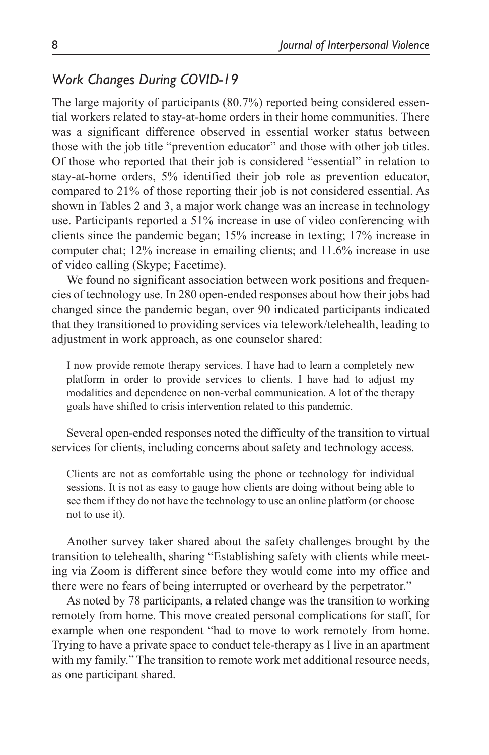## *Work Changes During COVID-19*

The large majority of participants (80.7%) reported being considered essential workers related to stay-at-home orders in their home communities. There was a significant difference observed in essential worker status between those with the job title "prevention educator" and those with other job titles. Of those who reported that their job is considered "essential" in relation to stay-at-home orders, 5% identified their job role as prevention educator, compared to 21% of those reporting their job is not considered essential. As shown in Tables 2 and 3, a major work change was an increase in technology use. Participants reported a 51% increase in use of video conferencing with clients since the pandemic began; 15% increase in texting; 17% increase in computer chat; 12% increase in emailing clients; and 11.6% increase in use of video calling (Skype; Facetime).

We found no significant association between work positions and frequencies of technology use. In 280 open-ended responses about how their jobs had changed since the pandemic began, over 90 indicated participants indicated that they transitioned to providing services via telework/telehealth, leading to adjustment in work approach, as one counselor shared:

I now provide remote therapy services. I have had to learn a completely new platform in order to provide services to clients. I have had to adjust my modalities and dependence on non-verbal communication. A lot of the therapy goals have shifted to crisis intervention related to this pandemic.

Several open-ended responses noted the difficulty of the transition to virtual services for clients, including concerns about safety and technology access.

Clients are not as comfortable using the phone or technology for individual sessions. It is not as easy to gauge how clients are doing without being able to see them if they do not have the technology to use an online platform (or choose not to use it).

Another survey taker shared about the safety challenges brought by the transition to telehealth, sharing "Establishing safety with clients while meeting via Zoom is different since before they would come into my office and there were no fears of being interrupted or overheard by the perpetrator."

As noted by 78 participants, a related change was the transition to working remotely from home. This move created personal complications for staff, for example when one respondent "had to move to work remotely from home. Trying to have a private space to conduct tele-therapy as I live in an apartment with my family." The transition to remote work met additional resource needs, as one participant shared.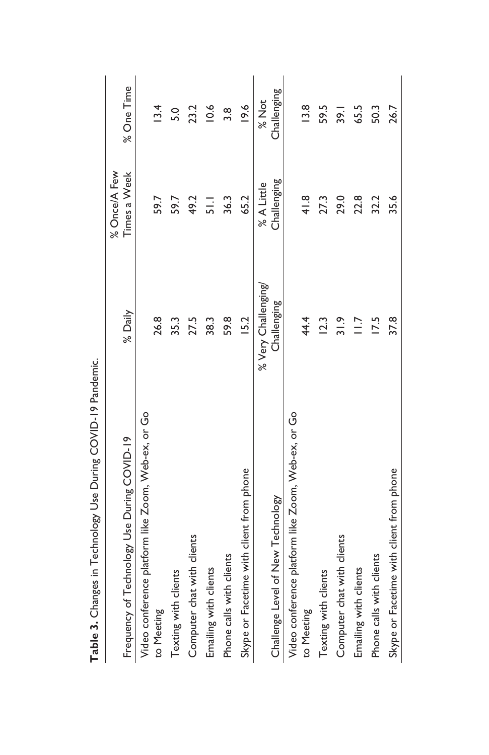| $\frac{1}{2}$                                      |                     |                |                   |
|----------------------------------------------------|---------------------|----------------|-------------------|
|                                                    |                     | % Once/A Few   |                   |
| Frequency of Technology Use During COVID-19        | % Daily             | Times a Week   | % One Time        |
| Video conference platform like Zoom, Web-ex, or Go |                     |                |                   |
| to Meeting                                         | 26.8                | 59.7           | 13.4              |
| Texting with clients                               | 35.3                | 59.7           | 5.0               |
| Computer chat with clients                         | 27.5                | 49.2           | 23.2              |
| Emailing with clients                              | 38.3                | $\overline{5}$ | 0.6               |
| Phone calls with clients                           | 59.8                | 36.3           | 3.8               |
| Skype or Facetime with client from phone           | I5.2                | 65.2           | 19.6              |
|                                                    | % Very Challenging/ | % A Little     | % Not             |
| Challenge Level of New Technology                  | Challenging         | Challenging    | Challenging       |
| Video conference platform like Zoom, Web-ex, or Go |                     |                |                   |
| to Meeting                                         | 44.4                | $rac{8}{4}$    | $\frac{8}{2}$     |
| Texting with clients                               | 12.3                | 27.3           | 59.5              |
| Computer chat with clients                         | 31.9                | 29.0           | $\overline{39}$ . |
| Emailing with clients                              | $\frac{1}{2}$       | 22.8           | 65.5              |
| Phone calls with clients                           | 17.5                | 32.2           | 50.3              |
| Skype or Facetime with client from phone           | 37.8                | 35.6           | 26.7              |
|                                                    |                     |                |                   |

Table 3. Changes in Technology Use During COVID-19 Pandemic. **Table 3.** Changes in Technology Use During COVID-19 Pandemic.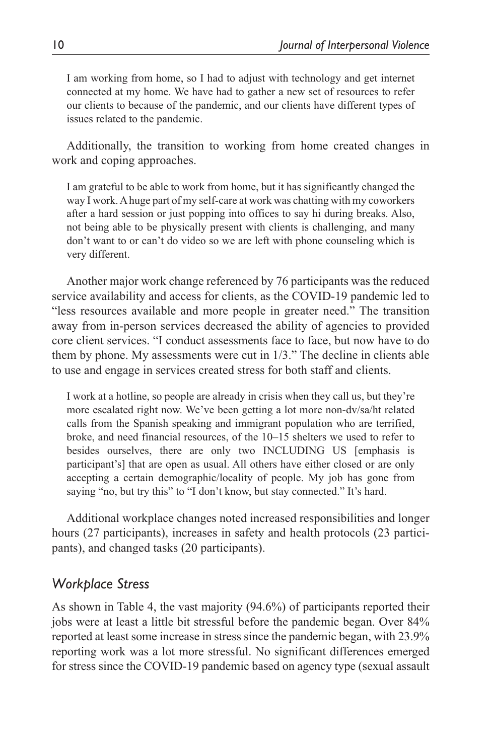I am working from home, so I had to adjust with technology and get internet connected at my home. We have had to gather a new set of resources to refer our clients to because of the pandemic, and our clients have different types of issues related to the pandemic.

Additionally, the transition to working from home created changes in work and coping approaches.

I am grateful to be able to work from home, but it has significantly changed the way I work. A huge part of my self-care at work was chatting with my coworkers after a hard session or just popping into offices to say hi during breaks. Also, not being able to be physically present with clients is challenging, and many don't want to or can't do video so we are left with phone counseling which is very different.

Another major work change referenced by 76 participants was the reduced service availability and access for clients, as the COVID-19 pandemic led to "less resources available and more people in greater need." The transition away from in-person services decreased the ability of agencies to provided core client services. "I conduct assessments face to face, but now have to do them by phone. My assessments were cut in 1/3." The decline in clients able to use and engage in services created stress for both staff and clients.

I work at a hotline, so people are already in crisis when they call us, but they're more escalated right now. We've been getting a lot more non-dv/sa/ht related calls from the Spanish speaking and immigrant population who are terrified, broke, and need financial resources, of the 10–15 shelters we used to refer to besides ourselves, there are only two INCLUDING US [emphasis is participant's] that are open as usual. All others have either closed or are only accepting a certain demographic/locality of people. My job has gone from saying "no, but try this" to "I don't know, but stay connected." It's hard.

Additional workplace changes noted increased responsibilities and longer hours (27 participants), increases in safety and health protocols (23 participants), and changed tasks (20 participants).

## *Workplace Stress*

As shown in Table 4, the vast majority (94.6%) of participants reported their jobs were at least a little bit stressful before the pandemic began. Over 84% reported at least some increase in stress since the pandemic began, with 23.9% reporting work was a lot more stressful. No significant differences emerged for stress since the COVID-19 pandemic based on agency type (sexual assault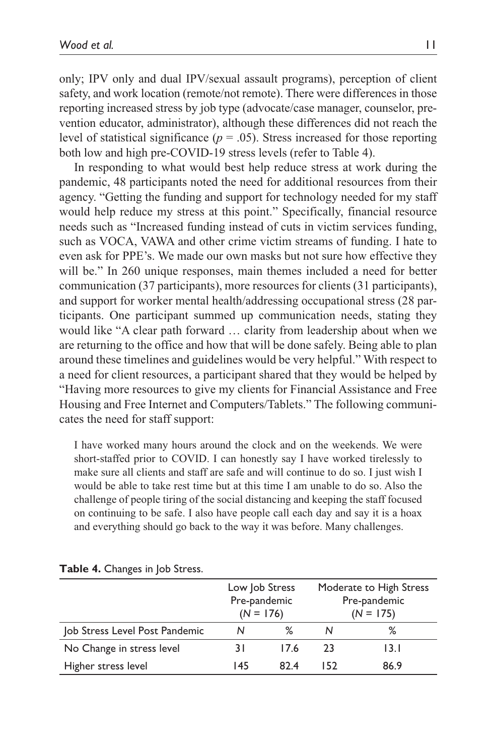only; IPV only and dual IPV/sexual assault programs), perception of client safety, and work location (remote/not remote). There were differences in those reporting increased stress by job type (advocate/case manager, counselor, prevention educator, administrator), although these differences did not reach the level of statistical significance ( $p = .05$ ). Stress increased for those reporting both low and high pre-COVID-19 stress levels (refer to Table 4).

In responding to what would best help reduce stress at work during the pandemic, 48 participants noted the need for additional resources from their agency. "Getting the funding and support for technology needed for my staff would help reduce my stress at this point." Specifically, financial resource needs such as "Increased funding instead of cuts in victim services funding, such as VOCA, VAWA and other crime victim streams of funding. I hate to even ask for PPE's. We made our own masks but not sure how effective they will be." In 260 unique responses, main themes included a need for better communication (37 participants), more resources for clients (31 participants), and support for worker mental health/addressing occupational stress (28 participants. One participant summed up communication needs, stating they would like "A clear path forward … clarity from leadership about when we are returning to the office and how that will be done safely. Being able to plan around these timelines and guidelines would be very helpful." With respect to a need for client resources, a participant shared that they would be helped by "Having more resources to give my clients for Financial Assistance and Free Housing and Free Internet and Computers/Tablets." The following communicates the need for staff support:

I have worked many hours around the clock and on the weekends. We were short-staffed prior to COVID. I can honestly say I have worked tirelessly to make sure all clients and staff are safe and will continue to do so. I just wish I would be able to take rest time but at this time I am unable to do so. Also the challenge of people tiring of the social distancing and keeping the staff focused on continuing to be safe. I also have people call each day and say it is a hoax and everything should go back to the way it was before. Many challenges.

|                                | Low Job Stress<br>Pre-pandemic<br>$(N = 176)$ |      | Moderate to High Stress<br>Pre-pandemic<br>$(N = 175)$ |      |  |
|--------------------------------|-----------------------------------------------|------|--------------------------------------------------------|------|--|
| Job Stress Level Post Pandemic | N                                             | ℅    | N                                                      | ℅    |  |
| No Change in stress level      | 31                                            | 17.6 | 23                                                     | 13.I |  |
| Higher stress level            | 145                                           | 824  | 152                                                    | 86.9 |  |

#### **Table 4.** Changes in Job Stress.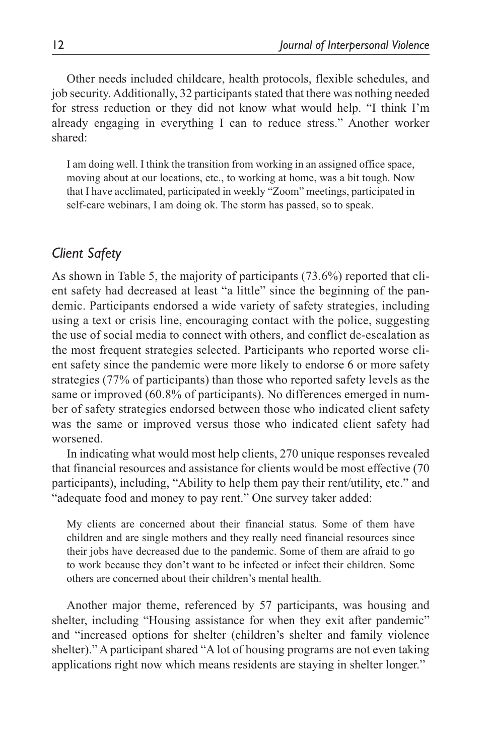Other needs included childcare, health protocols, flexible schedules, and job security. Additionally, 32 participants stated that there was nothing needed for stress reduction or they did not know what would help. "I think I'm already engaging in everything I can to reduce stress." Another worker shared:

I am doing well. I think the transition from working in an assigned office space, moving about at our locations, etc., to working at home, was a bit tough. Now that I have acclimated, participated in weekly "Zoom" meetings, participated in self-care webinars, I am doing ok. The storm has passed, so to speak.

## *Client Safety*

As shown in Table 5, the majority of participants (73.6%) reported that client safety had decreased at least "a little" since the beginning of the pandemic. Participants endorsed a wide variety of safety strategies, including using a text or crisis line, encouraging contact with the police, suggesting the use of social media to connect with others, and conflict de-escalation as the most frequent strategies selected. Participants who reported worse client safety since the pandemic were more likely to endorse 6 or more safety strategies (77% of participants) than those who reported safety levels as the same or improved (60.8% of participants). No differences emerged in number of safety strategies endorsed between those who indicated client safety was the same or improved versus those who indicated client safety had worsened.

In indicating what would most help clients, 270 unique responses revealed that financial resources and assistance for clients would be most effective (70 participants), including, "Ability to help them pay their rent/utility, etc." and "adequate food and money to pay rent." One survey taker added:

My clients are concerned about their financial status. Some of them have children and are single mothers and they really need financial resources since their jobs have decreased due to the pandemic. Some of them are afraid to go to work because they don't want to be infected or infect their children. Some others are concerned about their children's mental health.

Another major theme, referenced by 57 participants, was housing and shelter, including "Housing assistance for when they exit after pandemic" and "increased options for shelter (children's shelter and family violence shelter)." A participant shared "A lot of housing programs are not even taking applications right now which means residents are staying in shelter longer."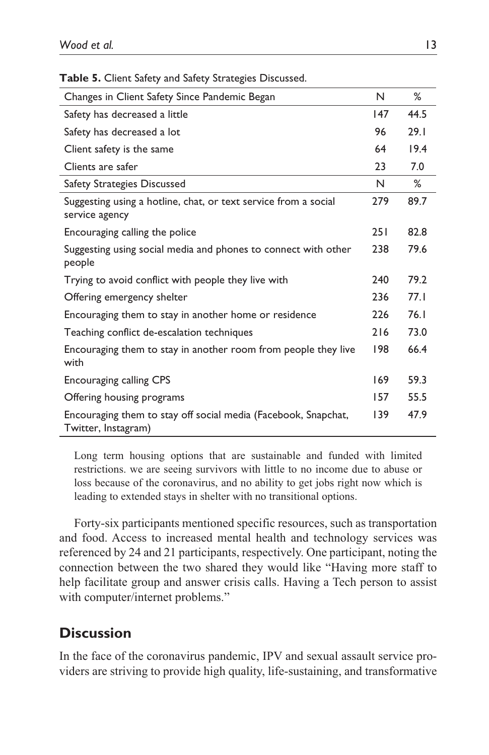| Changes in Client Safety Since Pandemic Began                                         | N   | ℅    |
|---------------------------------------------------------------------------------------|-----|------|
| Safety has decreased a little                                                         | 147 | 44.5 |
| Safety has decreased a lot                                                            | 96  | 29.1 |
| Client safety is the same                                                             | 64  | 19.4 |
| Clients are safer                                                                     | 23  | 7.0  |
| Safety Strategies Discussed                                                           | N   | ℅    |
| Suggesting using a hotline, chat, or text service from a social<br>service agency     | 279 | 89.7 |
| Encouraging calling the police                                                        | 251 | 82.8 |
| Suggesting using social media and phones to connect with other<br>people              | 238 | 79.6 |
| Trying to avoid conflict with people they live with                                   | 240 | 79.2 |
| Offering emergency shelter                                                            | 236 | 77.1 |
| Encouraging them to stay in another home or residence                                 | 226 | 76.1 |
| Teaching conflict de-escalation techniques                                            | 216 | 73.0 |
| Encouraging them to stay in another room from people they live<br>with                | 198 | 66.4 |
| <b>Encouraging calling CPS</b>                                                        | 169 | 59.3 |
| Offering housing programs                                                             | 157 | 55.5 |
| Encouraging them to stay off social media (Facebook, Snapchat,<br>Twitter, Instagram) | 139 | 47.9 |

**Table 5.** Client Safety and Safety Strategies Discussed.

Long term housing options that are sustainable and funded with limited restrictions. we are seeing survivors with little to no income due to abuse or loss because of the coronavirus, and no ability to get jobs right now which is leading to extended stays in shelter with no transitional options.

Forty-six participants mentioned specific resources, such as transportation and food. Access to increased mental health and technology services was referenced by 24 and 21 participants, respectively. One participant, noting the connection between the two shared they would like "Having more staff to help facilitate group and answer crisis calls. Having a Tech person to assist with computer/internet problems."

## **Discussion**

In the face of the coronavirus pandemic, IPV and sexual assault service providers are striving to provide high quality, life-sustaining, and transformative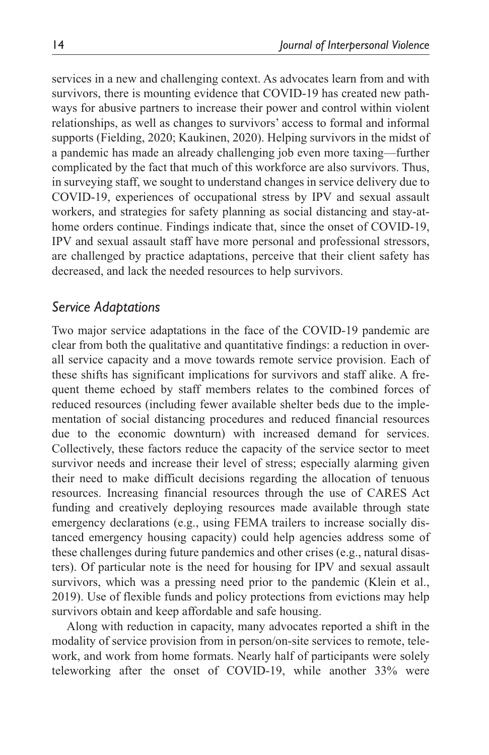services in a new and challenging context. As advocates learn from and with survivors, there is mounting evidence that COVID-19 has created new pathways for abusive partners to increase their power and control within violent relationships, as well as changes to survivors' access to formal and informal supports (Fielding, 2020; Kaukinen, 2020). Helping survivors in the midst of a pandemic has made an already challenging job even more taxing—further complicated by the fact that much of this workforce are also survivors. Thus, in surveying staff, we sought to understand changes in service delivery due to COVID-19, experiences of occupational stress by IPV and sexual assault workers, and strategies for safety planning as social distancing and stay-athome orders continue. Findings indicate that, since the onset of COVID-19, IPV and sexual assault staff have more personal and professional stressors, are challenged by practice adaptations, perceive that their client safety has decreased, and lack the needed resources to help survivors.

#### *Service Adaptations*

Two major service adaptations in the face of the COVID-19 pandemic are clear from both the qualitative and quantitative findings: a reduction in overall service capacity and a move towards remote service provision. Each of these shifts has significant implications for survivors and staff alike. A frequent theme echoed by staff members relates to the combined forces of reduced resources (including fewer available shelter beds due to the implementation of social distancing procedures and reduced financial resources due to the economic downturn) with increased demand for services. Collectively, these factors reduce the capacity of the service sector to meet survivor needs and increase their level of stress; especially alarming given their need to make difficult decisions regarding the allocation of tenuous resources. Increasing financial resources through the use of CARES Act funding and creatively deploying resources made available through state emergency declarations (e.g., using FEMA trailers to increase socially distanced emergency housing capacity) could help agencies address some of these challenges during future pandemics and other crises (e.g., natural disasters). Of particular note is the need for housing for IPV and sexual assault survivors, which was a pressing need prior to the pandemic (Klein et al., 2019). Use of flexible funds and policy protections from evictions may help survivors obtain and keep affordable and safe housing.

Along with reduction in capacity, many advocates reported a shift in the modality of service provision from in person/on-site services to remote, telework, and work from home formats. Nearly half of participants were solely teleworking after the onset of COVID-19, while another 33% were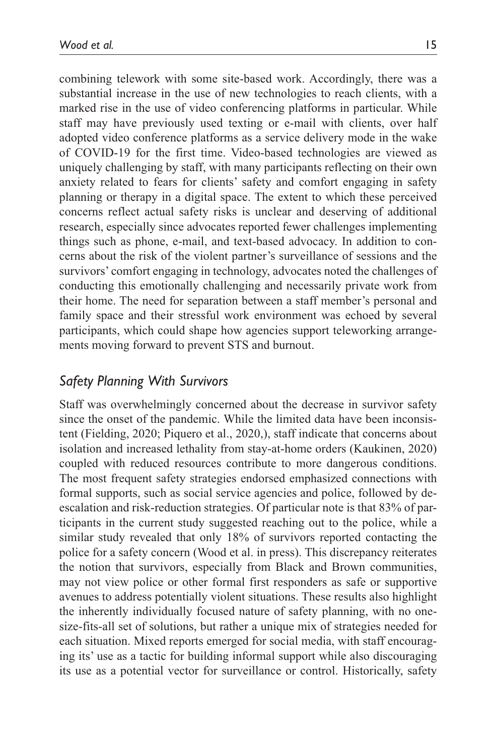combining telework with some site-based work. Accordingly, there was a substantial increase in the use of new technologies to reach clients, with a marked rise in the use of video conferencing platforms in particular. While staff may have previously used texting or e-mail with clients, over half adopted video conference platforms as a service delivery mode in the wake of COVID-19 for the first time. Video-based technologies are viewed as uniquely challenging by staff, with many participants reflecting on their own anxiety related to fears for clients' safety and comfort engaging in safety planning or therapy in a digital space. The extent to which these perceived concerns reflect actual safety risks is unclear and deserving of additional research, especially since advocates reported fewer challenges implementing things such as phone, e-mail, and text-based advocacy. In addition to concerns about the risk of the violent partner's surveillance of sessions and the survivors' comfort engaging in technology, advocates noted the challenges of conducting this emotionally challenging and necessarily private work from their home. The need for separation between a staff member's personal and family space and their stressful work environment was echoed by several participants, which could shape how agencies support teleworking arrangements moving forward to prevent STS and burnout.

## *Safety Planning With Survivors*

Staff was overwhelmingly concerned about the decrease in survivor safety since the onset of the pandemic. While the limited data have been inconsistent (Fielding, 2020; Piquero et al., 2020,), staff indicate that concerns about isolation and increased lethality from stay-at-home orders (Kaukinen, 2020) coupled with reduced resources contribute to more dangerous conditions. The most frequent safety strategies endorsed emphasized connections with formal supports, such as social service agencies and police, followed by deescalation and risk-reduction strategies. Of particular note is that 83% of participants in the current study suggested reaching out to the police, while a similar study revealed that only 18% of survivors reported contacting the police for a safety concern (Wood et al. in press). This discrepancy reiterates the notion that survivors, especially from Black and Brown communities, may not view police or other formal first responders as safe or supportive avenues to address potentially violent situations. These results also highlight the inherently individually focused nature of safety planning, with no onesize-fits-all set of solutions, but rather a unique mix of strategies needed for each situation. Mixed reports emerged for social media, with staff encouraging its' use as a tactic for building informal support while also discouraging its use as a potential vector for surveillance or control. Historically, safety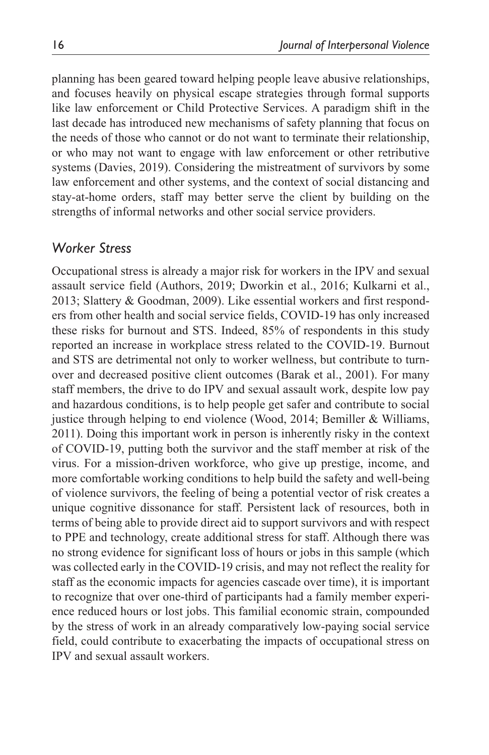planning has been geared toward helping people leave abusive relationships, and focuses heavily on physical escape strategies through formal supports like law enforcement or Child Protective Services. A paradigm shift in the last decade has introduced new mechanisms of safety planning that focus on the needs of those who cannot or do not want to terminate their relationship, or who may not want to engage with law enforcement or other retributive systems (Davies, 2019). Considering the mistreatment of survivors by some law enforcement and other systems, and the context of social distancing and stay-at-home orders, staff may better serve the client by building on the strengths of informal networks and other social service providers.

## *Worker Stress*

Occupational stress is already a major risk for workers in the IPV and sexual assault service field (Authors, 2019; Dworkin et al., 2016; Kulkarni et al., 2013; Slattery & Goodman, 2009). Like essential workers and first responders from other health and social service fields, COVID-19 has only increased these risks for burnout and STS. Indeed, 85% of respondents in this study reported an increase in workplace stress related to the COVID-19. Burnout and STS are detrimental not only to worker wellness, but contribute to turnover and decreased positive client outcomes (Barak et al., 2001). For many staff members, the drive to do IPV and sexual assault work, despite low pay and hazardous conditions, is to help people get safer and contribute to social justice through helping to end violence (Wood, 2014; Bemiller & Williams, 2011). Doing this important work in person is inherently risky in the context of COVID-19, putting both the survivor and the staff member at risk of the virus. For a mission-driven workforce, who give up prestige, income, and more comfortable working conditions to help build the safety and well-being of violence survivors, the feeling of being a potential vector of risk creates a unique cognitive dissonance for staff. Persistent lack of resources, both in terms of being able to provide direct aid to support survivors and with respect to PPE and technology, create additional stress for staff. Although there was no strong evidence for significant loss of hours or jobs in this sample (which was collected early in the COVID-19 crisis, and may not reflect the reality for staff as the economic impacts for agencies cascade over time), it is important to recognize that over one-third of participants had a family member experience reduced hours or lost jobs. This familial economic strain, compounded by the stress of work in an already comparatively low-paying social service field, could contribute to exacerbating the impacts of occupational stress on IPV and sexual assault workers.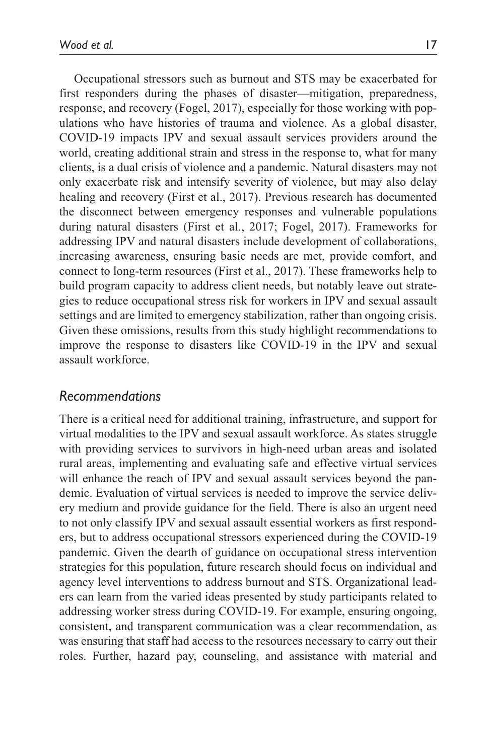Occupational stressors such as burnout and STS may be exacerbated for first responders during the phases of disaster—mitigation, preparedness, response, and recovery (Fogel, 2017), especially for those working with populations who have histories of trauma and violence. As a global disaster, COVID-19 impacts IPV and sexual assault services providers around the world, creating additional strain and stress in the response to, what for many clients, is a dual crisis of violence and a pandemic. Natural disasters may not only exacerbate risk and intensify severity of violence, but may also delay healing and recovery (First et al., 2017). Previous research has documented the disconnect between emergency responses and vulnerable populations during natural disasters (First et al., 2017; Fogel, 2017). Frameworks for addressing IPV and natural disasters include development of collaborations, increasing awareness, ensuring basic needs are met, provide comfort, and connect to long-term resources (First et al., 2017). These frameworks help to build program capacity to address client needs, but notably leave out strategies to reduce occupational stress risk for workers in IPV and sexual assault settings and are limited to emergency stabilization, rather than ongoing crisis.

Given these omissions, results from this study highlight recommendations to improve the response to disasters like COVID-19 in the IPV and sexual assault workforce.

## *Recommendations*

There is a critical need for additional training, infrastructure, and support for virtual modalities to the IPV and sexual assault workforce. As states struggle with providing services to survivors in high-need urban areas and isolated rural areas, implementing and evaluating safe and effective virtual services will enhance the reach of IPV and sexual assault services beyond the pandemic. Evaluation of virtual services is needed to improve the service delivery medium and provide guidance for the field. There is also an urgent need to not only classify IPV and sexual assault essential workers as first responders, but to address occupational stressors experienced during the COVID-19 pandemic. Given the dearth of guidance on occupational stress intervention strategies for this population, future research should focus on individual and agency level interventions to address burnout and STS. Organizational leaders can learn from the varied ideas presented by study participants related to addressing worker stress during COVID-19. For example, ensuring ongoing, consistent, and transparent communication was a clear recommendation, as was ensuring that staff had access to the resources necessary to carry out their roles. Further, hazard pay, counseling, and assistance with material and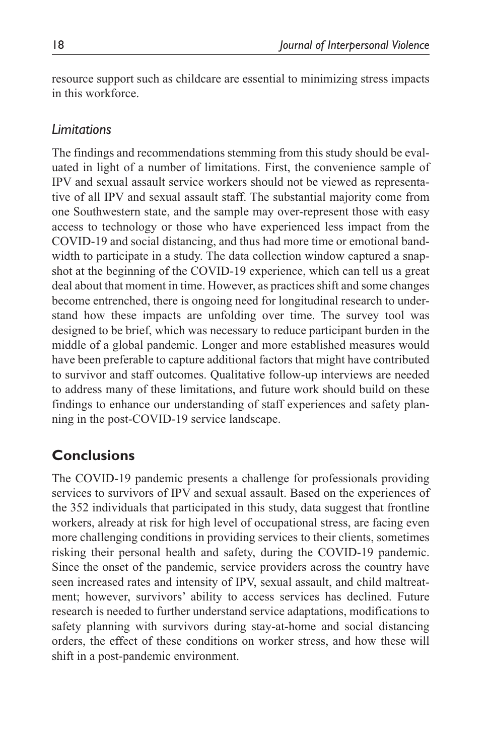resource support such as childcare are essential to minimizing stress impacts in this workforce.

## *Limitations*

The findings and recommendations stemming from this study should be evaluated in light of a number of limitations. First, the convenience sample of IPV and sexual assault service workers should not be viewed as representative of all IPV and sexual assault staff. The substantial majority come from one Southwestern state, and the sample may over-represent those with easy access to technology or those who have experienced less impact from the COVID-19 and social distancing, and thus had more time or emotional bandwidth to participate in a study. The data collection window captured a snapshot at the beginning of the COVID-19 experience, which can tell us a great deal about that moment in time. However, as practices shift and some changes become entrenched, there is ongoing need for longitudinal research to understand how these impacts are unfolding over time. The survey tool was designed to be brief, which was necessary to reduce participant burden in the middle of a global pandemic. Longer and more established measures would have been preferable to capture additional factors that might have contributed to survivor and staff outcomes. Qualitative follow-up interviews are needed to address many of these limitations, and future work should build on these findings to enhance our understanding of staff experiences and safety planning in the post-COVID-19 service landscape.

# **Conclusions**

The COVID-19 pandemic presents a challenge for professionals providing services to survivors of IPV and sexual assault. Based on the experiences of the 352 individuals that participated in this study, data suggest that frontline workers, already at risk for high level of occupational stress, are facing even more challenging conditions in providing services to their clients, sometimes risking their personal health and safety, during the COVID-19 pandemic. Since the onset of the pandemic, service providers across the country have seen increased rates and intensity of IPV, sexual assault, and child maltreatment; however, survivors' ability to access services has declined. Future research is needed to further understand service adaptations, modifications to safety planning with survivors during stay-at-home and social distancing orders, the effect of these conditions on worker stress, and how these will shift in a post-pandemic environment.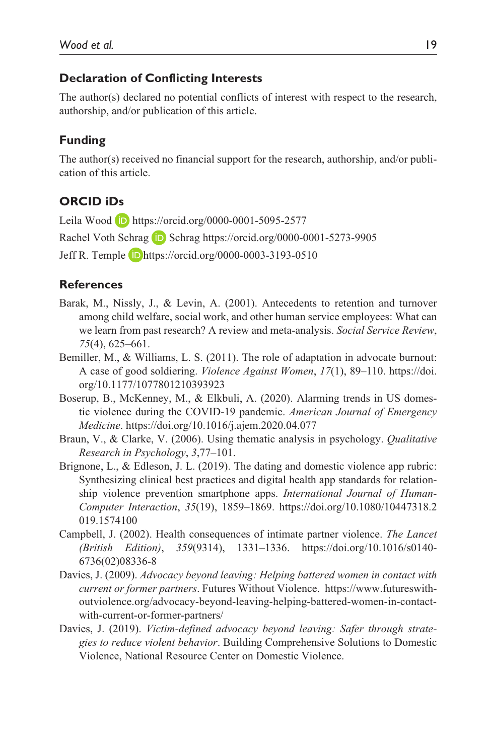#### **Declaration of Conflicting Interests**

The author(s) declared no potential conflicts of interest with respect to the research, authorship, and/or publication of this article.

#### **Funding**

The author(s) received no financial support for the research, authorship, and/or publication of this article.

#### **ORCID iDs**

Leila Wood **D** https://orcid.org/0000-0001-5095-2577

Rachel Voth Schrag **D** Schrag https://orcid.org/0000-0001-5273-9905

Jeff R. Temple https://orcid.org/0000-0003-3193-0510

#### **References**

- Barak, M., Nissly, J., & Levin, A. (2001). Antecedents to retention and turnover among child welfare, social work, and other human service employees: What can we learn from past research? A review and meta-analysis. *Social Service Review*, *75*(4), 625–661.
- Bemiller, M., & Williams, L. S. (2011). The role of adaptation in advocate burnout: A case of good soldiering. *Violence Against Women*, *17*(1), 89–110. https://doi. org/10.1177/1077801210393923
- Boserup, B., McKenney, M., & Elkbuli, A. (2020). Alarming trends in US domestic violence during the COVID-19 pandemic. *American Journal of Emergency Medicine*. https://doi.org/10.1016/j.ajem.2020.04.077
- Braun, V., & Clarke, V. (2006). Using thematic analysis in psychology. *Qualitative Research in Psychology*, *3*,77–101.
- Brignone, L., & Edleson, J. L. (2019). The dating and domestic violence app rubric: Synthesizing clinical best practices and digital health app standards for relationship violence prevention smartphone apps. *International Journal of Human-Computer Interaction*, *35*(19), 1859–1869. https://doi.org/10.1080/10447318.2 019.1574100
- Campbell, J. (2002). Health consequences of intimate partner violence. *The Lancet (British Edition)*, *359*(9314), 1331–1336. https://doi.org/10.1016/s0140- 6736(02)08336-8
- Davies, J. (2009). *Advocacy beyond leaving: Helping battered women in contact with current or former partners*. Futures Without Violence. https://www.futureswithoutviolence.org/advocacy-beyond-leaving-helping-battered-women-in-contactwith-current-or-former-partners/
- Davies, J. (2019). *Victim-defined advocacy beyond leaving: Safer through strategies to reduce violent behavior*. Building Comprehensive Solutions to Domestic Violence, National Resource Center on Domestic Violence.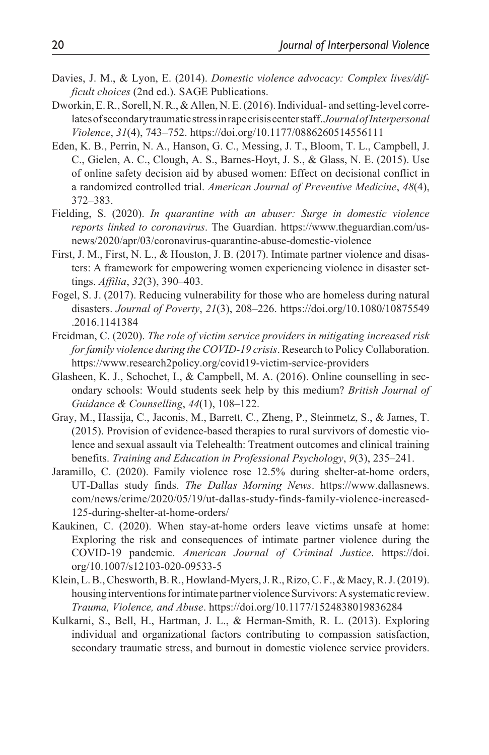- Davies, J. M., & Lyon, E. (2014). *Domestic violence advocacy: Complex lives/difficult choices* (2nd ed.). SAGE Publications.
- Dworkin, E. R., Sorell, N. R., & Allen, N. E. (2016). Individual- and setting-level correlates of secondary traumatic stress in rape crisis center staff. *Journal of Interpersonal Violence*, *31*(4), 743–752. https://doi.org/10.1177/0886260514556111
- Eden, K. B., Perrin, N. A., Hanson, G. C., Messing, J. T., Bloom, T. L., Campbell, J. C., Gielen, A. C., Clough, A. S., Barnes-Hoyt, J. S., & Glass, N. E. (2015). Use of online safety decision aid by abused women: Effect on decisional conflict in a randomized controlled trial. *American Journal of Preventive Medicine*, *48*(4), 372–383.
- Fielding, S. (2020). *In quarantine with an abuser: Surge in domestic violence reports linked to coronavirus*. The Guardian. https://www.theguardian.com/usnews/2020/apr/03/coronavirus-quarantine-abuse-domestic-violence
- First, J. M., First, N. L., & Houston, J. B. (2017). Intimate partner violence and disasters: A framework for empowering women experiencing violence in disaster settings. *Affilia*, *32*(3), 390–403.
- Fogel, S. J. (2017). Reducing vulnerability for those who are homeless during natural disasters. *Journal of Poverty*, *21*(3), 208–226. https://doi.org/10.1080/10875549 .2016.1141384
- Freidman, C. (2020). *The role of victim service providers in mitigating increased risk for family violence during the COVID-19 crisis*. Research to Policy Collaboration. https://www.research2policy.org/covid19-victim-service-providers
- Glasheen, K. J., Schochet, I., & Campbell, M. A. (2016). Online counselling in secondary schools: Would students seek help by this medium? *British Journal of Guidance & Counselling*, *44*(1), 108–122.
- Gray, M., Hassija, C., Jaconis, M., Barrett, C., Zheng, P., Steinmetz, S., & James, T. (2015). Provision of evidence-based therapies to rural survivors of domestic violence and sexual assault via Telehealth: Treatment outcomes and clinical training benefits. *Training and Education in Professional Psychology*, *9*(3), 235–241.
- Jaramillo, C. (2020). Family violence rose 12.5% during shelter-at-home orders, UT-Dallas study finds. *The Dallas Morning News*. https://www.dallasnews. com/news/crime/2020/05/19/ut-dallas-study-finds-family-violence-increased-125-during-shelter-at-home-orders/
- Kaukinen, C. (2020). When stay-at-home orders leave victims unsafe at home: Exploring the risk and consequences of intimate partner violence during the COVID-19 pandemic. *American Journal of Criminal Justice*. https://doi. org/10.1007/s12103-020-09533-5
- Klein, L. B., Chesworth, B. R., Howland-Myers, J. R., Rizo, C. F., & Macy, R. J. (2019). housing interventions for intimate partner violence Survivors: A systematic review. *Trauma, Violence, and Abuse*. https://doi.org/10.1177/1524838019836284
- Kulkarni, S., Bell, H., Hartman, J. L., & Herman-Smith, R. L. (2013). Exploring individual and organizational factors contributing to compassion satisfaction, secondary traumatic stress, and burnout in domestic violence service providers.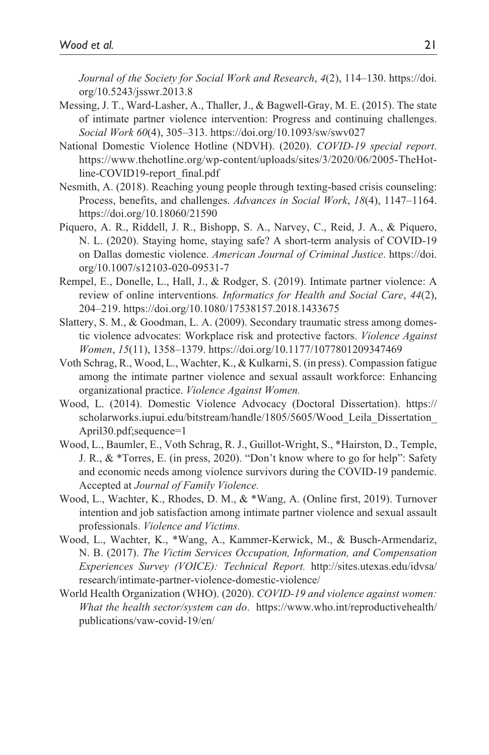*Journal of the Society for Social Work and Research*, *4*(2), 114–130. https://doi. org/10.5243/jsswr.2013.8

- Messing, J. T., Ward-Lasher, A., Thaller, J., & Bagwell-Gray, M. E. (2015). The state of intimate partner violence intervention: Progress and continuing challenges. *Social Work 60*(4), 305–313. https://doi.org/10.1093/sw/swv027
- National Domestic Violence Hotline (NDVH). (2020). *COVID-19 special report*. https://www.thehotline.org/wp-content/uploads/sites/3/2020/06/2005-TheHotline-COVID19-report\_final.pdf
- Nesmith, A. (2018). Reaching young people through texting-based crisis counseling: Process, benefits, and challenges. *Advances in Social Work*, *18*(4), 1147–1164. https://doi.org/10.18060/21590
- Piquero, A. R., Riddell, J. R., Bishopp, S. A., Narvey, C., Reid, J. A., & Piquero, N. L. (2020). Staying home, staying safe? A short-term analysis of COVID-19 on Dallas domestic violence. *American Journal of Criminal Justice*. https://doi. org/10.1007/s12103-020-09531-7
- Rempel, E., Donelle, L., Hall, J., & Rodger, S. (2019). Intimate partner violence: A review of online interventions. *Informatics for Health and Social Care*, *44*(2), 204–219. https://doi.org/10.1080/17538157.2018.1433675
- Slattery, S. M., & Goodman, L. A. (2009). Secondary traumatic stress among domestic violence advocates: Workplace risk and protective factors. *Violence Against Women*, *15*(11), 1358–1379. https://doi.org/10.1177/1077801209347469
- Voth Schrag, R., Wood, L., Wachter, K., & Kulkarni, S. (in press). Compassion fatigue among the intimate partner violence and sexual assault workforce: Enhancing organizational practice. *Violence Against Women.*
- Wood, L. (2014). Domestic Violence Advocacy (Doctoral Dissertation). https:// scholarworks.iupui.edu/bitstream/handle/1805/5605/Wood\_Leila\_Dissertation\_ April30.pdf;sequence=1
- Wood, L., Baumler, E., Voth Schrag, R. J., Guillot-Wright, S., \*Hairston, D., Temple, J. R., & \*Torres, E. (in press, 2020). "Don't know where to go for help": Safety and economic needs among violence survivors during the COVID-19 pandemic. Accepted at *Journal of Family Violence.*
- Wood, L., Wachter, K., Rhodes, D. M., & \*Wang, A. (Online first, 2019). Turnover intention and job satisfaction among intimate partner violence and sexual assault professionals. *Violence and Victims.*
- Wood, L., Wachter, K., \*Wang, A., Kammer-Kerwick, M., & Busch-Armendariz, N. B. (2017). *The Victim Services Occupation, Information, and Compensation Experiences Survey (VOICE): Technical Report.* http://sites.utexas.edu/idvsa/ research/intimate-partner-violence-domestic-violence/
- World Health Organization (WHO). (2020). *COVID-19 and violence against women: What the health sector/system can do*. https://www.who.int/reproductivehealth/ publications/vaw-covid-19/en/